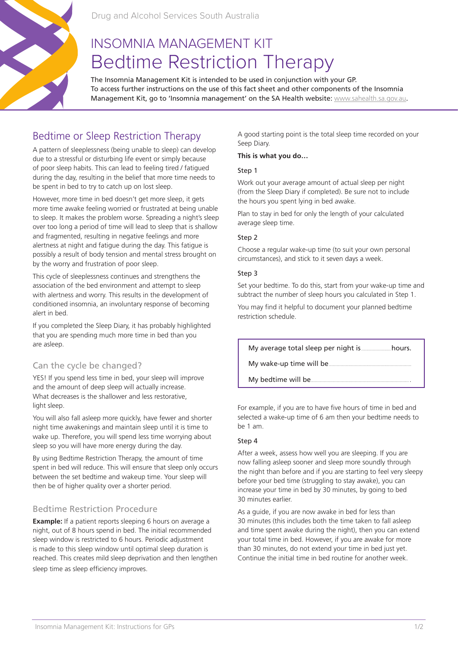

Drug and Alcohol Services South Australia

# INSOMNIA MANAGEMENT KIT Bedtime Restriction Therapy

The Insomnia Management Kit is intended to be used in conjunction with your GP. To access further instructions on the use of this fact sheet and other components of the Insomnia Management Kit, go to 'Insomnia management' on the SA Health website: www.sahealth.sa.gov.au.

## Bedtime or Sleep Restriction Therapy

A pattern of sleeplessness (being unable to sleep) can develop due to a stressful or disturbing life event or simply because of poor sleep habits. This can lead to feeling tired / fatigued during the day, resulting in the belief that more time needs to be spent in bed to try to catch up on lost sleep.

However, more time in bed doesn't get more sleep, it gets more time awake feeling worried or frustrated at being unable to sleep. It makes the problem worse. Spreading a night's sleep over too long a period of time will lead to sleep that is shallow and fragmented, resulting in negative feelings and more alertness at night and fatigue during the day. This fatigue is possibly a result of body tension and mental stress brought on by the worry and frustration of poor sleep.

This cycle of sleeplessness continues and strengthens the association of the bed environment and attempt to sleep with alertness and worry. This results in the development of conditioned insomnia, an involuntary response of becoming alert in bed.

If you completed the Sleep Diary, it has probably highlighted that you are spending much more time in bed than you are asleep.

## Can the cycle be changed?

YES! If you spend less time in bed, your sleep will improve and the amount of deep sleep will actually increase. What decreases is the shallower and less restorative, light sleep.

You will also fall asleep more quickly, have fewer and shorter night time awakenings and maintain sleep until it is time to wake up. Therefore, you will spend less time worrying about sleep so you will have more energy during the day.

By using Bedtime Restriction Therapy, the amount of time spent in bed will reduce. This will ensure that sleep only occurs between the set bedtime and wakeup time. Your sleep will then be of higher quality over a shorter period.

## Bedtime Restriction Procedure

**Example:** If a patient reports sleeping 6 hours on average a night, out of 8 hours spend in bed. The initial recommended sleep window is restricted to 6 hours. Periodic adjustment is made to this sleep window until optimal sleep duration is reached. This creates mild sleep deprivation and then lengthen sleep time as sleep efficiency improves.

A good starting point is the total sleep time recorded on your Seep Diary.

#### **This is what you do…**

#### Step 1

Work out your average amount of actual sleep per night (from the Sleep Diary if completed). Be sure not to include the hours you spent lying in bed awake.

Plan to stay in bed for only the length of your calculated average sleep time.

#### Step 2

Choose a regular wake-up time (to suit your own personal circumstances), and stick to it seven days a week.

#### Step 3

Set your bedtime. To do this, start from your wake-up time and subtract the number of sleep hours you calculated in Step 1.

You may find it helpful to document your planned bedtime restriction schedule.

My average total sleep per night is.......................hours.

My wake-up time will be.......

My bedtime will be...

For example, if you are to have five hours of time in bed and selected a wake-up time of 6 am then your bedtime needs to be 1 am.

#### Step 4

After a week, assess how well you are sleeping. If you are now falling asleep sooner and sleep more soundly through the night than before and if you are starting to feel very sleepy before your bed time (struggling to stay awake), you can increase your time in bed by 30 minutes, by going to bed 30 minutes earlier.

As a guide, if you are now awake in bed for less than 30 minutes (this includes both the time taken to fall asleep and time spent awake during the night), then you can extend your total time in bed. However, if you are awake for more than 30 minutes, do not extend your time in bed just yet. Continue the initial time in bed routine for another week.